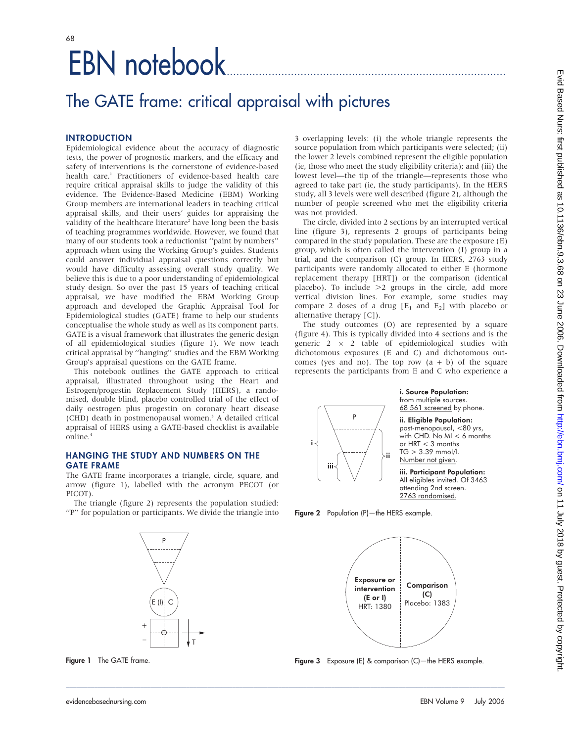# EBN notebook....................................................................................... 68

## The GATE frame: critical appraisal with pictures

## **INTRODUCTION**

Epidemiological evidence about the accuracy of diagnostic tests, the power of prognostic markers, and the efficacy and safety of interventions is the cornerstone of evidence-based health care.<sup>1</sup> Practitioners of evidence-based health care require critical appraisal skills to judge the validity of this evidence. The Evidence-Based Medicine (EBM) Working Group members are international leaders in teaching critical appraisal skills, and their users' guides for appraising the validity of the healthcare literature<sup>2</sup> have long been the basis of teaching programmes worldwide. However, we found that many of our students took a reductionist ''paint by numbers'' approach when using the Working Group's guides. Students could answer individual appraisal questions correctly but would have difficulty assessing overall study quality. We believe this is due to a poor understanding of epidemiological study design. So over the past 15 years of teaching critical appraisal, we have modified the EBM Working Group approach and developed the Graphic Appraisal Tool for Epidemiological studies (GATE) frame to help our students conceptualise the whole study as well as its component parts. GATE is a visual framework that illustrates the generic design of all epidemiological studies (figure 1). We now teach critical appraisal by ''hanging'' studies and the EBM Working Group's appraisal questions on the GATE frame.

This notebook outlines the GATE approach to critical appraisal, illustrated throughout using the Heart and Estrogen/progestin Replacement Study (HERS), a randomised, double blind, placebo controlled trial of the effect of daily oestrogen plus progestin on coronary heart disease (CHD) death in postmenopausal women.<sup>3</sup> A detailed critical appraisal of HERS using a GATE-based checklist is available online.4

## HANGING THE STUDY AND NUMBERS ON THE GATE FRAME

The GATE frame incorporates a triangle, circle, square, and arrow (figure 1), labelled with the acronym PECOT (or PICOT).

The triangle (figure 2) represents the population studied: ''P'' for population or participants. We divide the triangle into



Figure 1 The GATE frame.

3 overlapping levels: (i) the whole triangle represents the source population from which participants were selected; (ii) the lower 2 levels combined represent the eligible population (ie, those who meet the study eligibility criteria); and (iii) the lowest level—the tip of the triangle—represents those who agreed to take part (ie, the study participants). In the HERS study, all 3 levels were well described (figure 2), although the number of people screened who met the eligibility criteria was not provided.

The circle, divided into 2 sections by an interrupted vertical line (figure 3), represents 2 groups of participants being compared in the study population. These are the exposure (E) group, which is often called the intervention (I) group in a trial, and the comparison (C) group. In HERS, 2763 study participants were randomly allocated to either E (hormone replacement therapy [HRT]) or the comparison (identical placebo). To include  $>2$  groups in the circle, add more vertical division lines. For example, some studies may compare 2 doses of a drug  $[E_1 \text{ and } E_2]$  with placebo or alternative therapy [C]).

The study outcomes (O) are represented by a square (figure 4). This is typically divided into 4 sections and is the generic  $2 \times 2$  table of epidemiological studies with dichotomous exposures (E and C) and dichotomous outcomes (yes and no). The top row  $(a + b)$  of the square represents the participants from E and C who experience a



Figure 2 Population (P)-the HERS example.



Figure 3 Exposure (E) & comparison (C)—the HERS example.

\_\_\_\_\_\_\_\_\_\_\_\_\_\_\_\_\_\_\_\_\_\_\_\_\_\_\_\_\_\_\_\_\_\_\_\_\_\_\_\_\_\_\_\_\_\_\_\_\_\_\_\_\_\_\_\_\_\_\_\_\_\_\_\_\_\_\_\_\_\_\_\_\_\_\_\_\_\_\_\_\_\_\_\_\_\_\_\_\_\_\_\_\_\_\_\_\_\_\_\_\_\_\_\_\_\_\_\_\_\_\_\_\_\_\_\_\_\_\_\_\_\_\_\_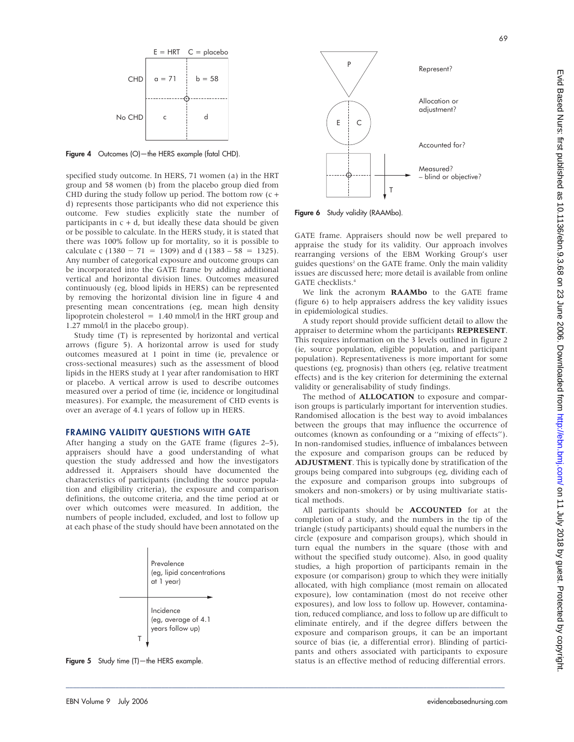

Figure 4 Outcomes (O)—the HERS example (fatal CHD).

specified study outcome. In HERS, 71 women (a) in the HRT group and 58 women (b) from the placebo group died from CHD during the study follow up period. The bottom row (c + d) represents those participants who did not experience this outcome. Few studies explicitly state the number of participants in  $c + d$ , but ideally these data should be given or be possible to calculate. In the HERS study, it is stated that there was 100% follow up for mortality, so it is possible to calculate c (1380 - 71 = 1309) and d (1383 - 58 = 1325). Any number of categorical exposure and outcome groups can be incorporated into the GATE frame by adding additional vertical and horizontal division lines. Outcomes measured continuously (eg, blood lipids in HERS) can be represented by removing the horizontal division line in figure 4 and presenting mean concentrations (eg, mean high density lipoprotein cholesterol  $= 1.40$  mmol/l in the HRT group and 1.27 mmol/l in the placebo group).

Study time (T) is represented by horizontal and vertical arrows (figure 5). A horizontal arrow is used for study outcomes measured at 1 point in time (ie, prevalence or cross-sectional measures) such as the assessment of blood lipids in the HERS study at 1 year after randomisation to HRT or placebo. A vertical arrow is used to describe outcomes measured over a period of time (ie, incidence or longitudinal measures). For example, the measurement of CHD events is over an average of 4.1 years of follow up in HERS.

#### FRAMING VALIDITY QUESTIONS WITH GATE

After hanging a study on the GATE frame (figures 2–5), appraisers should have a good understanding of what question the study addressed and how the investigators addressed it. Appraisers should have documented the characteristics of participants (including the source population and eligibility criteria), the exposure and comparison definitions, the outcome criteria, and the time period at or over which outcomes were measured. In addition, the numbers of people included, excluded, and lost to follow up at each phase of the study should have been annotated on the



\_\_\_\_\_\_\_\_\_\_\_\_\_\_\_\_\_\_\_\_\_\_\_\_\_\_\_\_\_\_\_\_\_\_\_\_\_\_\_\_\_\_\_\_\_\_\_\_\_\_\_\_\_\_\_\_\_\_\_\_\_\_\_\_\_\_\_\_\_\_\_\_\_\_\_\_\_\_\_\_\_\_\_\_\_\_\_\_\_\_\_\_\_\_\_\_\_\_\_\_\_\_\_\_\_\_\_\_\_\_\_\_\_\_\_\_\_\_\_\_\_\_\_\_

Figure 5 Study time (T)-the HERS example.



Figure 6 Study validity (RAAMbo).

GATE frame. Appraisers should now be well prepared to appraise the study for its validity. Our approach involves rearranging versions of the EBM Working Group's user guides questions<sup>2</sup> on the GATE frame. Only the main validity issues are discussed here; more detail is available from online GATE checklists.<sup>4</sup>

We link the acronym **RAAMbo** to the GATE frame (figure 6) to help appraisers address the key validity issues in epidemiological studies.

A study report should provide sufficient detail to allow the appraiser to determine whom the participants REPRESENT. This requires information on the 3 levels outlined in figure 2 (ie, source population, eligible population, and participant population). Representativeness is more important for some questions (eg, prognosis) than others (eg, relative treatment effects) and is the key criterion for determining the external validity or generalisability of study findings.

The method of ALLOCATION to exposure and comparison groups is particularly important for intervention studies. Randomised allocation is the best way to avoid imbalances between the groups that may influence the occurrence of outcomes (known as confounding or a ''mixing of effects''). In non-randomised studies, influence of imbalances between the exposure and comparison groups can be reduced by ADJUSTMENT. This is typically done by stratification of the groups being compared into subgroups (eg, dividing each of the exposure and comparison groups into subgroups of smokers and non-smokers) or by using multivariate statistical methods.

All participants should be ACCOUNTED for at the completion of a study, and the numbers in the tip of the triangle (study participants) should equal the numbers in the circle (exposure and comparison groups), which should in turn equal the numbers in the square (those with and without the specified study outcome). Also, in good quality studies, a high proportion of participants remain in the exposure (or comparison) group to which they were initially allocated, with high compliance (most remain on allocated exposure), low contamination (most do not receive other exposures), and low loss to follow up. However, contamination, reduced compliance, and loss to follow up are difficult to eliminate entirely, and if the degree differs between the exposure and comparison groups, it can be an important source of bias (ie, a differential error). Blinding of participants and others associated with participants to exposure status is an effective method of reducing differential errors.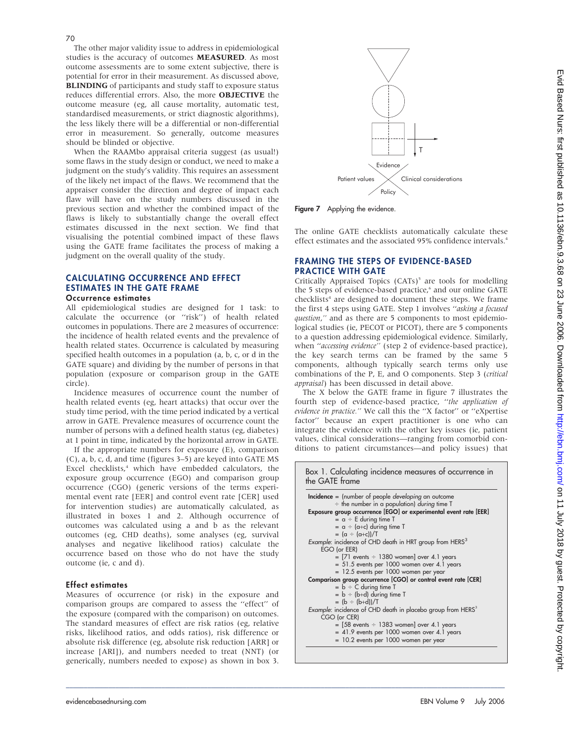The other major validity issue to address in epidemiological studies is the accuracy of outcomes MEASURED. As most outcome assessments are to some extent subjective, there is potential for error in their measurement. As discussed above, BLINDING of participants and study staff to exposure status reduces differential errors. Also, the more OBJECTIVE the outcome measure (eg, all cause mortality, automatic test, standardised measurements, or strict diagnostic algorithms), the less likely there will be a differential or non-differential error in measurement. So generally, outcome measures

should be blinded or objective. When the RAAMbo appraisal criteria suggest (as usual!) some flaws in the study design or conduct, we need to make a judgment on the study's validity. This requires an assessment of the likely net impact of the flaws. We recommend that the appraiser consider the direction and degree of impact each flaw will have on the study numbers discussed in the previous section and whether the combined impact of the flaws is likely to substantially change the overall effect estimates discussed in the next section. We find that visualising the potential combined impact of these flaws using the GATE frame facilitates the process of making a judgment on the overall quality of the study.

## CALCULATING OCCURRENCE AND EFFECT ESTIMATES IN THE GATE FRAME

## Occurrence estimates

All epidemiological studies are designed for 1 task: to calculate the occurrence (or ''risk'') of health related outcomes in populations. There are 2 measures of occurrence: the incidence of health related events and the prevalence of health related states. Occurrence is calculated by measuring specified health outcomes in a population (a, b, c, or d in the GATE square) and dividing by the number of persons in that population (exposure or comparison group in the GATE circle).

Incidence measures of occurrence count the number of health related events (eg, heart attacks) that occur over the study time period, with the time period indicated by a vertical arrow in GATE. Prevalence measures of occurrence count the number of persons with a defined health status (eg, diabetes) at 1 point in time, indicated by the horizontal arrow in GATE.

If the appropriate numbers for exposure  $(E)$ , comparison (C), a, b, c, d, and time (figures 3–5) are keyed into GATE MS Excel checklists,<sup>4</sup> which have embedded calculators, the exposure group occurrence (EGO) and comparison group occurrence (CGO) (generic versions of the terms experimental event rate [EER] and control event rate [CER] used for intervention studies) are automatically calculated, as illustrated in boxes 1 and 2. Although occurrence of outcomes was calculated using a and b as the relevant outcomes (eg, CHD deaths), some analyses (eg, survival analyses and negative likelihood ratios) calculate the occurrence based on those who do not have the study outcome (ie, c and d).

#### Effect estimates

Measures of occurrence (or risk) in the exposure and comparison groups are compared to assess the ''effect'' of the exposure (compared with the comparison) on outcomes. The standard measures of effect are risk ratios (eg, relative risks, likelihood ratios, and odds ratios), risk difference or absolute risk difference (eg, absolute risk reduction [ARR] or increase [ARI]), and numbers needed to treat (NNT) (or generically, numbers needed to expose) as shown in box 3.

 $\_$  , and the set of the set of the set of the set of the set of the set of the set of the set of the set of the set of the set of the set of the set of the set of the set of the set of the set of the set of the set of th



Figure 7 Applying the evidence.

The online GATE checklists automatically calculate these effect estimates and the associated 95% confidence intervals.<sup>4</sup>

### FRAMING THE STEPS OF EVIDENCE-BASED PRACTICE WITH GATE

Critically Appraised Topics  $(CATs)^5$  are tools for modelling the 5 steps of evidence-based practice,<sup>6</sup> and our online GATE checklists<sup>4</sup> are designed to document these steps. We frame the first 4 steps using GATE. Step 1 involves "asking a focused question," and as there are 5 components to most epidemiological studies (ie, PECOT or PICOT), there are 5 components to a question addressing epidemiological evidence. Similarly, when "accessing evidence" (step 2 of evidence-based practice), the key search terms can be framed by the same 5 components, although typically search terms only use combinations of the P, E, and O components. Step 3 (critical appraisal) has been discussed in detail above.

The X below the GATE frame in figure 7 illustrates the fourth step of evidence-based practice, "the application of evidence in practice." We call this the "X factor" or "eXpertise factor'' because an expert practitioner is one who can integrate the evidence with the other key issues (ie, patient values, clinical considerations—ranging from comorbid conditions to patient circumstances—and policy issues) that

Box 1. Calculating incidence measures of occurrence in

| $Incidence = (number of people developing an outcome)$<br>$\div$ the number in a population) <i>during</i> time T |
|-------------------------------------------------------------------------------------------------------------------|
| Exposure group occurrence [EGO] or experimental event rate [EER]                                                  |
| $=$ a $\div$ E during time T                                                                                      |
| $=$ a $\div$ (a+c) during time T                                                                                  |
| $= (\alpha \div (\alpha + c))/T$                                                                                  |
| Example: incidence of CHD death in HRT group from HERS <sup>3</sup>                                               |
| EGO (or EER)                                                                                                      |
| $=$ [71 events $\div$ 1380 women] over 4.1 years                                                                  |
| $= 51.5$ events per 1000 women over 4.1 years                                                                     |
| = 12.5 events per 1000 women per year                                                                             |
| Comparison group occurrence [CGO] or control event rate [CER]                                                     |
| $= b \div C$ during time T                                                                                        |
| $= b \div (b+d)$ during time T                                                                                    |
| $= (b \div (b+d))/T$                                                                                              |
| Example: incidence of CHD death in placebo group from HERS <sup>3</sup><br>CGO (or CER)                           |
| $=$ [58 events $\div$ 1383 women] over 4.1 years                                                                  |
| $= 41.9$ events per 1000 women over 4.1 years                                                                     |
| = 10.2 events per 1000 women per year                                                                             |